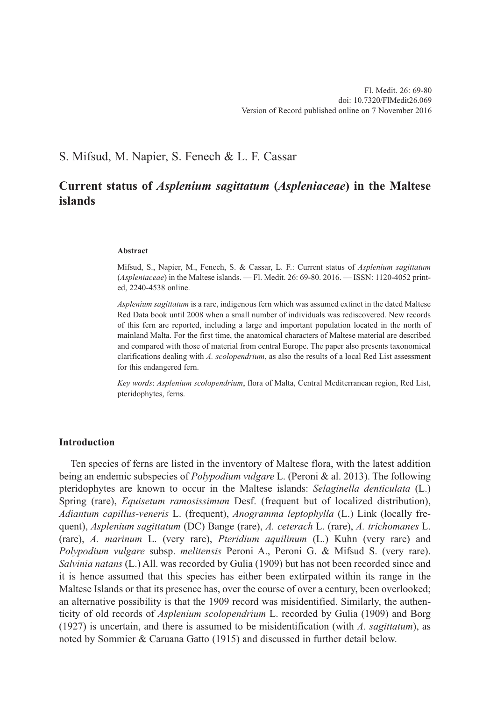# S. Mifsud, M. Napier, S. Fenech & L. F. Cassar

# **Current status of** *Asplenium sagittatum* **(***Aspleniaceae***) in the Maltese islands**

#### **Abstract**

Mifsud, S., Napier, M., Fenech, S. & Cassar, L. F.: Current status of *Asplenium sagittatum* (*Aspleniaceae*) in the Maltese islands. — Fl. Medit. 26: 69-80. 2016. — ISSN: 1120-4052 printed, 2240-4538 online.

*Asplenium sagittatum* is a rare, indigenous fern which was assumed extinct in the dated Maltese Red Data book until 2008 when a small number of individuals was rediscovered. New records of this fern are reported, including a large and important population located in the north of mainland Malta. For the first time, the anatomical characters of Maltese material are described and compared with those of material from central Europe. The paper also presents taxonomical clarifications dealing with *A. scolopendrium*, as also the results of a local Red List assessment for this endangered fern.

*Key words*: *Asplenium scolopendrium*, flora of Malta, Central Mediterranean region, Red List, pteridophytes, ferns.

## **Introduction**

Ten species of ferns are listed in the inventory of Maltese flora, with the latest addition being an endemic subspecies of *Polypodium vulgare* L. (Peroni & al. 2013). The following pteridophytes are known to occur in the Maltese islands: *Selaginella denticulata* (L.) Spring (rare), *Equisetum ramosissimum* Desf. (frequent but of localized distribution), *Adiantum capillus-veneris* L. (frequent), *Anogramma leptophylla* (L.) Link (locally frequent), *Asplenium sagittatum* (DC) Bange (rare), *A. ceterach* L. (rare), *A. trichomanes* L. (rare), *A. marinum* L. (very rare), *Pteridium aquilinum* (L.) Kuhn (very rare) and *Polypodium vulgare* subsp. *melitensis* Peroni A., Peroni G. & Mifsud S. (very rare). *Salvinia natans* (L.) All. was recorded by Gulia (1909) but has not been recorded since and it is hence assumed that this species has either been extirpated within its range in the Maltese Islands or that its presence has, over the course of over a century, been overlooked; an alternative possibility is that the 1909 record was misidentified. Similarly, the authenticity of old records of *Asplenium scolopendrium* L. recorded by Gulia (1909) and Borg (1927) is uncertain, and there is assumed to be misidentification (with *A. sagittatum*), as noted by Sommier & Caruana Gatto (1915) and discussed in further detail below.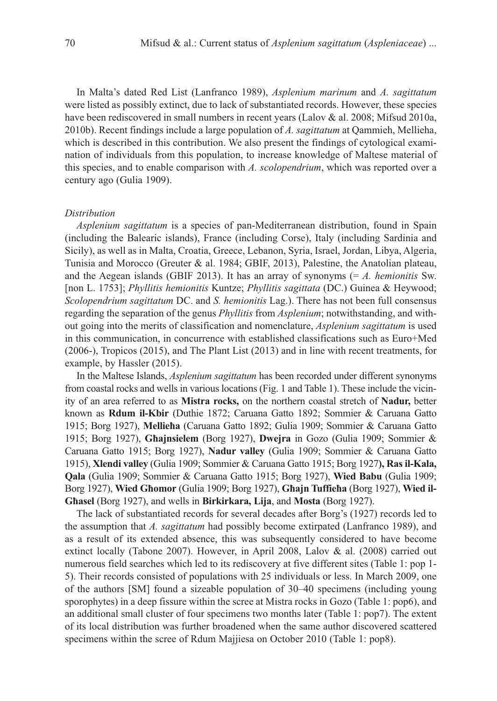In Malta's dated Red List (Lanfranco 1989), *Asplenium marinum* and *A. sagittatum* were listed as possibly extinct, due to lack of substantiated records. However, these species have been rediscovered in small numbers in recent years (Lalov & al. 2008; Mifsud 2010a, 2010b). Recent findings include a large population of *A. sagittatum* at Qammieh, Mellieha, which is described in this contribution. We also present the findings of cytological examination of individuals from this population, to increase knowledge of Maltese material of this species, and to enable comparison with *A. scolopendrium*, which was reported over a century ago (Gulia 1909).

## *Distribution*

*Asplenium sagittatum* is a species of pan-Mediterranean distribution, found in Spain (including the Balearic islands), France (including Corse), Italy (including Sardinia and Sicily), as well as in Malta, Croatia, Greece, Lebanon, Syria, Israel, Jordan, Libya, Algeria, Tunisia and Morocco (Greuter & al. 1984; GBIF, 2013), Palestine, the Anatolian plateau, and the Aegean islands (GBIF 2013). It has an array of synonyms (= *A. hemionitis* Sw. [non L. 1753]; *Phyllitis hemionitis* Kuntze; *Phyllitis sagittata* (DC.) Guinea & Heywood; *Scolopendrium sagittatum* DC. and *S. hemionitis* Lag.). There has not been full consensus regarding the separation of the genus *Phyllitis* from *Asplenium*; notwithstanding, and without going into the merits of classification and nomenclature, *Asplenium sagittatum* is used in this communication, in concurrence with established classifications such as Euro+Med (2006-), Tropicos (2015), and The Plant List (2013) and in line with recent treatments, for example, by Hassler (2015).

In the Maltese Islands, *Asplenium sagittatum* has been recorded under different synonyms from coastal rocks and wells in various locations (Fig. 1 and Table 1). These include the vicinity of an area referred to as **Mistra rocks,** on the northern coastal stretch of **Nadur,** better known as **Rdum il-Kbir** (Duthie 1872; Caruana Gatto 1892; Sommier & Caruana Gatto 1915; Borg 1927), **Mellieħa** (Caruana Gatto 1892; Gulia 1909; Sommier & Caruana Gatto 1915; Borg 1927), **Għajnsielem** (Borg 1927), **Dwejra** in Gozo (Gulia 1909; Sommier & Caruana Gatto 1915; Borg 1927), **Nadur valley** (Gulia 1909; Sommier & Caruana Gatto 1915), **Xlendi valley** (Gulia 1909; Sommier & Caruana Gatto 1915; Borg 1927**), Ras il-Kala, Qala** (Gulia 1909; Sommier & Caruana Gatto 1915; Borg 1927), **Wied Babu** (Gulia 1909; Borg 1927), **Wied Għomor** (Gulia 1909; Borg 1927), **Għajn Tuffieħa** (Borg 1927), **Wied il-Għasel** (Borg 1927), and wells in **Birkirkara, Lija**, and **Mosta** (Borg 1927).

The lack of substantiated records for several decades after Borg's (1927) records led to the assumption that *A. sagittatum* had possibly become extirpated (Lanfranco 1989), and as a result of its extended absence, this was subsequently considered to have become extinct locally (Tabone 2007). However, in April 2008, Lalov & al. (2008) carried out numerous field searches which led to its rediscovery at five different sites (Table 1: pop 1- 5). Their records consisted of populations with 25 individuals or less. In March 2009, one of the authors [SM] found a sizeable population of 30–40 specimens (including young sporophytes) in a deep fissure within the scree at Mistra rocks in Gozo (Table 1: pop6), and an additional small cluster of four specimens two months later (Table 1: pop7). The extent of its local distribution was further broadened when the same author discovered scattered specimens within the scree of Rdum Majjiesa on October 2010 (Table 1: pop8).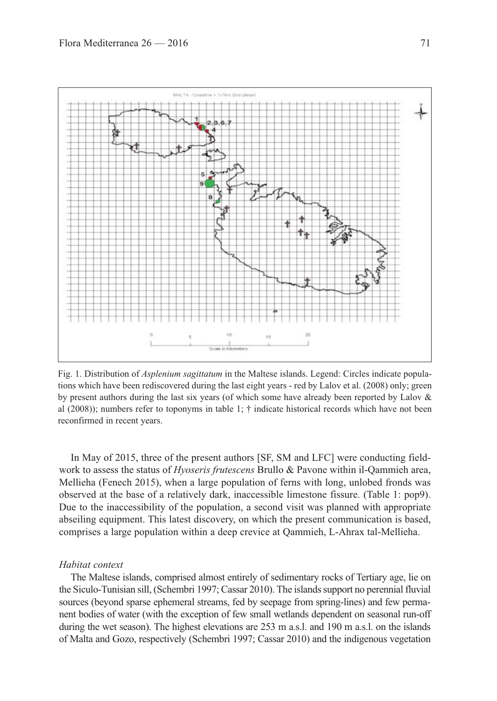

Fig. 1. Distribution of *Asplenium sagittatum* in the Maltese islands. Legend: Circles indicate populations which have been rediscovered during the last eight years - red by Lalov et al. (2008) only; green by present authors during the last six years (of which some have already been reported by Lalov & al (2008)); numbers refer to toponyms in table 1;  $\dagger$  indicate historical records which have not been reconfirmed in recent years.

In May of 2015, three of the present authors [SF, SM and LFC] were conducting fieldwork to assess the status of *Hyoseris frutescens* Brullo & Pavone within il-Qammieh area, Mellieha (Fenech 2015), when a large population of ferns with long, unlobed fronds was observed at the base of a relatively dark, inaccessible limestone fissure. (Table 1: pop9). Due to the inaccessibility of the population, a second visit was planned with appropriate abseiling equipment. This latest discovery, on which the present communication is based, comprises a large population within a deep crevice at Qammieh, L-Ahrax tal-Mellieha.

## *Habitat context*

The Maltese islands, comprised almost entirely of sedimentary rocks of Tertiary age, lie on the Siculo-Tunisian sill, (Schembri 1997; Cassar 2010). The islands support no perennial fluvial sources (beyond sparse ephemeral streams, fed by seepage from spring-lines) and few permanent bodies of water (with the exception of few small wetlands dependent on seasonal run-off during the wet season). The highest elevations are 253 m a.s.l. and 190 m a.s.l. on the islands of Malta and Gozo, respectively (Schembri 1997; Cassar 2010) and the indigenous vegetation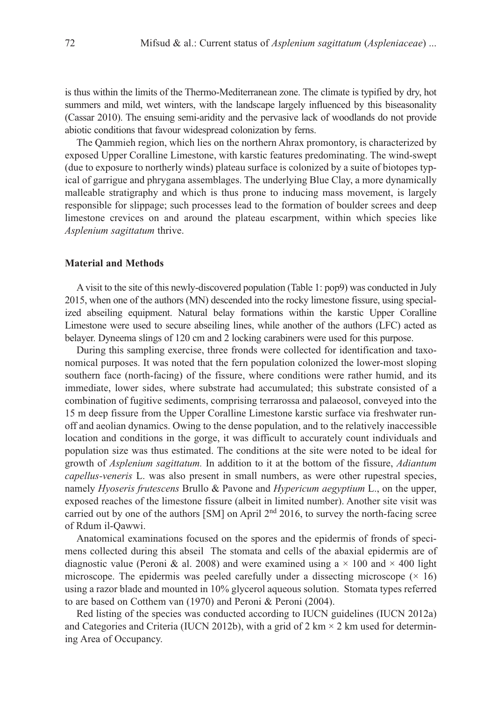is thus within the limits of the Thermo-Mediterranean zone. The climate is typified by dry, hot summers and mild, wet winters, with the landscape largely influenced by this biseasonality (Cassar 2010). The ensuing semi-aridity and the pervasive lack of woodlands do not provide abiotic conditions that favour widespread colonization by ferns.

The Qammieh region, which lies on the northern Ahrax promontory, is characterized by exposed Upper Coralline Limestone, with karstic features predominating. The wind-swept (due to exposure to northerly winds) plateau surface is colonized by a suite of biotopes typical of garrigue and phrygana assemblages. The underlying Blue Clay, a more dynamically malleable stratigraphy and which is thus prone to inducing mass movement, is largely responsible for slippage; such processes lead to the formation of boulder screes and deep limestone crevices on and around the plateau escarpment, within which species like *Asplenium sagittatum* thrive.

## **Material and Methods**

A visit to the site of this newly-discovered population (Table 1: pop9) was conducted in July 2015, when one of the authors (MN) descended into the rocky limestone fissure, using specialized abseiling equipment. Natural belay formations within the karstic Upper Coralline Limestone were used to secure abseiling lines, while another of the authors (LFC) acted as belayer. Dyneema slings of 120 cm and 2 locking carabiners were used for this purpose.

During this sampling exercise, three fronds were collected for identification and taxonomical purposes. It was noted that the fern population colonized the lower-most sloping southern face (north-facing) of the fissure, where conditions were rather humid, and its immediate, lower sides, where substrate had accumulated; this substrate consisted of a combination of fugitive sediments, comprising terrarossa and palaeosol, conveyed into the 15 m deep fissure from the Upper Coralline Limestone karstic surface via freshwater runoff and aeolian dynamics. Owing to the dense population, and to the relatively inaccessible location and conditions in the gorge, it was difficult to accurately count individuals and population size was thus estimated. The conditions at the site were noted to be ideal for growth of *Asplenium sagittatum.* In addition to it at the bottom of the fissure, *Adiantum capellus-veneris* L. was also present in small numbers, as were other rupestral species, namely *Hyoseris frutescens* Brullo & Pavone and *Hypericum aegyptium* L., on the upper, exposed reaches of the limestone fissure (albeit in limited number). Another site visit was carried out by one of the authors [SM] on April 2<sup>nd</sup> 2016, to survey the north-facing scree of Rdum il-Qawwi.

Anatomical examinations focused on the spores and the epidermis of fronds of specimens collected during this abseil The stomata and cells of the abaxial epidermis are of diagnostic value (Peroni & al. 2008) and were examined using a  $\times$  100 and  $\times$  400 light microscope. The epidermis was peeled carefully under a dissecting microscope  $(\times 16)$ using a razor blade and mounted in 10% glycerol aqueous solution. Stomata types referred to are based on Cotthem van (1970) and Peroni & Peroni (2004).

Red listing of the species was conducted according to IUCN guidelines (IUCN 2012a) and Categories and Criteria (IUCN 2012b), with a grid of 2 km  $\times$  2 km used for determining Area of Occupancy.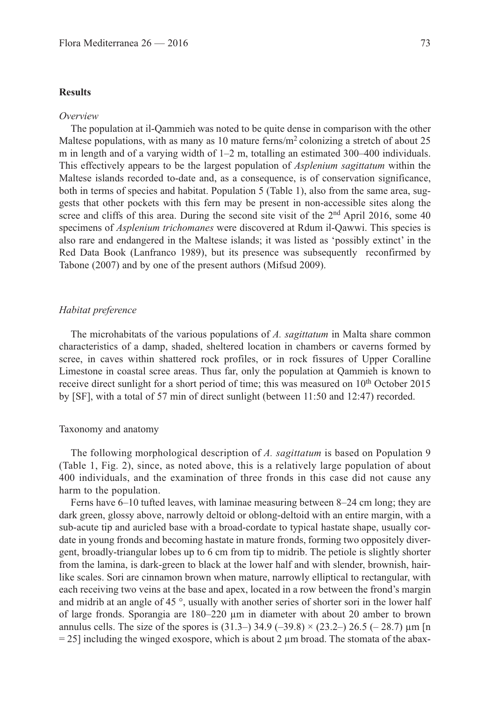## **Results**

## *Overview*

The population at il-Qammieh was noted to be quite dense in comparison with the other Maltese populations, with as many as 10 mature ferns/ $m<sup>2</sup>$  colonizing a stretch of about 25 m in length and of a varying width of 1–2 m, totalling an estimated 300–400 individuals. This effectively appears to be the largest population of *Asplenium sagittatum* within the Maltese islands recorded to-date and, as a consequence, is of conservation significance, both in terms of species and habitat. Population 5 (Table 1), also from the same area, suggests that other pockets with this fern may be present in non-accessible sites along the scree and cliffs of this area. During the second site visit of the  $2<sup>nd</sup>$  April 2016, some 40 specimens of *Asplenium trichomanes* were discovered at Rdum il-Qawwi. This species is also rare and endangered in the Maltese islands; it was listed as 'possibly extinct' in the Red Data Book (Lanfranco 1989), but its presence was subsequently reconfirmed by Tabone (2007) and by one of the present authors (Mifsud 2009).

## *Habitat preference*

The microhabitats of the various populations of *A. sagittatum* in Malta share common characteristics of a damp, shaded, sheltered location in chambers or caverns formed by scree, in caves within shattered rock profiles, or in rock fissures of Upper Coralline Limestone in coastal scree areas. Thus far, only the population at Qammieh is known to receive direct sunlight for a short period of time; this was measured on 10<sup>th</sup> October 2015 by [SF], with a total of 57 min of direct sunlight (between 11:50 and 12:47) recorded.

## Taxonomy and anatomy

The following morphological description of *A. sagittatum* is based on Population 9 (Table 1, Fig. 2), since, as noted above, this is a relatively large population of about 400 individuals, and the examination of three fronds in this case did not cause any harm to the population.

Ferns have 6–10 tufted leaves, with laminae measuring between 8–24 cm long; they are dark green, glossy above, narrowly deltoid or oblong-deltoid with an entire margin, with a sub-acute tip and auricled base with a broad-cordate to typical hastate shape, usually cordate in young fronds and becoming hastate in mature fronds, forming two oppositely divergent, broadly-triangular lobes up to 6 cm from tip to midrib. The petiole is slightly shorter from the lamina, is dark-green to black at the lower half and with slender, brownish, hairlike scales. Sori are cinnamon brown when mature, narrowly elliptical to rectangular, with each receiving two veins at the base and apex, located in a row between the frond's margin and midrib at an angle of 45 °, usually with another series of shorter sori in the lower half of large fronds. Sporangia are  $180-220 \mu m$  in diameter with about 20 amber to brown annulus cells. The size of the spores is  $(31.3-)$  34.9  $(-39.8) \times (23.2-)$  26.5  $(-28.7)$   $\mu$ m [n  $= 25$ ] including the winged exospore, which is about 2  $\mu$ m broad. The stomata of the abax-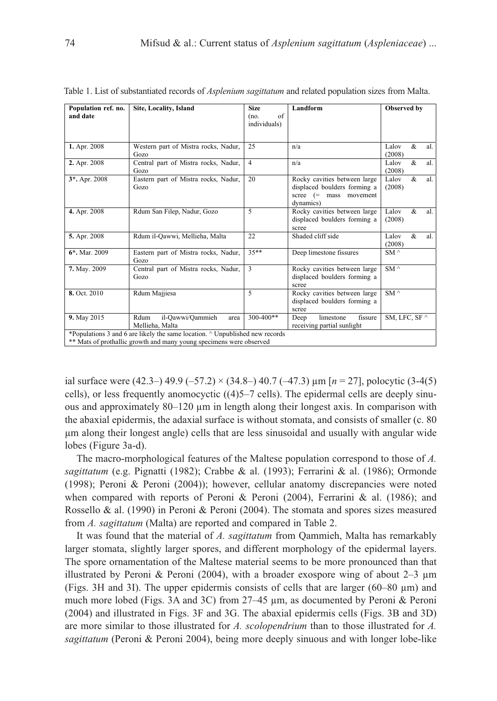| Population ref. no. | Site, Locality, Island                              | <b>Size</b>                | Landform                                                                                               | Observed by                 |
|---------------------|-----------------------------------------------------|----------------------------|--------------------------------------------------------------------------------------------------------|-----------------------------|
| and date            |                                                     | of<br>(no.<br>individuals) |                                                                                                        |                             |
| 1. Apr. 2008        | Western part of Mistra rocks, Nadur,<br>Gozo        | 25                         | n/a                                                                                                    | &<br>Lalov<br>al.<br>(2008) |
| 2. Apr. 2008        | Central part of Mistra rocks, Nadur,<br>Gozo        | $\overline{4}$             | n/a                                                                                                    | &<br>Lalov<br>al.<br>(2008) |
| 3*. Apr. 2008       | Eastern part of Mistra rocks, Nadur,<br>Gozo        | 20                         | Rocky cavities between large<br>displaced boulders forming a<br>$screce$ (= mass movement<br>dynamics) | Lalov<br>&<br>al.<br>(2008) |
| 4. Apr. 2008        | Rdum San Filep, Nadur, Gozo                         | 5                          | Rocky cavities between large<br>displaced boulders forming a<br>scree                                  | Lalov<br>&<br>al.<br>(2008) |
| 5. Apr. 2008        | Rdum il-Qawwi, Mellieha, Malta                      | 22                         | Shaded cliff side                                                                                      | Lalov<br>&<br>al.<br>(2008) |
| $6*$ , Mar. 2009    | Eastern part of Mistra rocks, Nadur,<br>Gozo        | $35**$                     | Deep limestone fissures                                                                                | SM $\wedge$                 |
| 7. May. 2009        | Central part of Mistra rocks, Nadur,<br>Gozo        | 3                          | Rocky cavities between large<br>displaced boulders forming a<br>scree                                  | $SM \wedge$                 |
| 8. Oct. 2010        | Rdum Majjiesa                                       | 5                          | Rocky cavities between large<br>displaced boulders forming a<br>scree                                  | $SM \wedge$                 |
| 9. May 2015         | il-Qawwi/Qammieh<br>Rdum<br>area<br>Mellieha, Malta | 300-400**                  | limestone<br>fissure<br>Deep<br>receiving partial sunlight                                             | SM, LFC, SF $\wedge$        |

Table 1. List of substantiated records of *Asplenium sagittatum* and related population sizes from Malta.

ial surface were  $(42.3-)$   $49.9$   $(-57.2) \times (34.8-)$   $40.7$   $(-47.3)$   $\mu$ m  $[n = 27]$ , polocytic  $(3-4(5))$ cells), or less frequently anomocyctic ((4)5–7 cells). The epidermal cells are deeply sinuous and approximately  $80-120 \mu m$  in length along their longest axis. In comparison with the abaxial epidermis, the adaxial surface is without stomata, and consists of smaller (c. 80 µm along their longest angle) cells that are less sinusoidal and usually with angular wide lobes (Figure 3a-d).

The macro-morphological features of the Maltese population correspond to those of *A. sagittatum* (e.g. Pignatti (1982); Crabbe & al. (1993); Ferrarini & al. (1986); Ormonde (1998); Peroni & Peroni (2004)); however, cellular anatomy discrepancies were noted when compared with reports of Peroni & Peroni (2004), Ferrarini & al. (1986); and Rossello & al. (1990) in Peroni & Peroni (2004). The stomata and spores sizes measured from *A. sagittatum* (Malta) are reported and compared in Table 2.

It was found that the material of *A. sagittatum* from Qammieh, Malta has remarkably larger stomata, slightly larger spores, and different morphology of the epidermal layers. The spore ornamentation of the Maltese material seems to be more pronounced than that illustrated by Peroni & Peroni (2004), with a broader exospore wing of about  $2-3 \mu m$ (Figs. 3H and 3I). The upper epidermis consists of cells that are larger  $(60-80 \mu m)$  and much more lobed (Figs. 3A and 3C) from  $27-45$  µm, as documented by Peroni & Peroni (2004) and illustrated in Figs. 3F and 3G. The abaxial epidermis cells (Figs. 3B and 3D) are more similar to those illustrated for *A. scolopendrium* than to those illustrated for *A. sagittatum* (Peroni & Peroni 2004), being more deeply sinuous and with longer lobe-like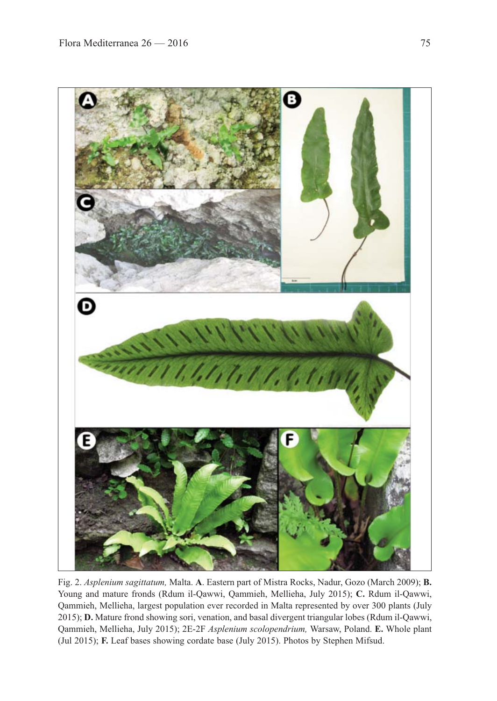

Fig. 2. *Asplenium sagittatum,* Malta. **A**. Eastern part of Mistra Rocks, Nadur, Gozo (March 2009); **B.** Young and mature fronds (Rdum il-Qawwi, Qammieh, Mellieha, July 2015); **C.** Rdum il-Qawwi, Qammieh, Mellieha, largest population ever recorded in Malta represented by over 300 plants (July 2015); **D.** Mature frond showing sori, venation, and basal divergent triangular lobes (Rdum il-Qawwi, Qammieh, Mellieha, July 2015); 2E-2F *Asplenium scolopendrium,* Warsaw, Poland. **E.** Whole plant (Jul 2015); **F.** Leaf bases showing cordate base (July 2015). Photos by Stephen Mifsud.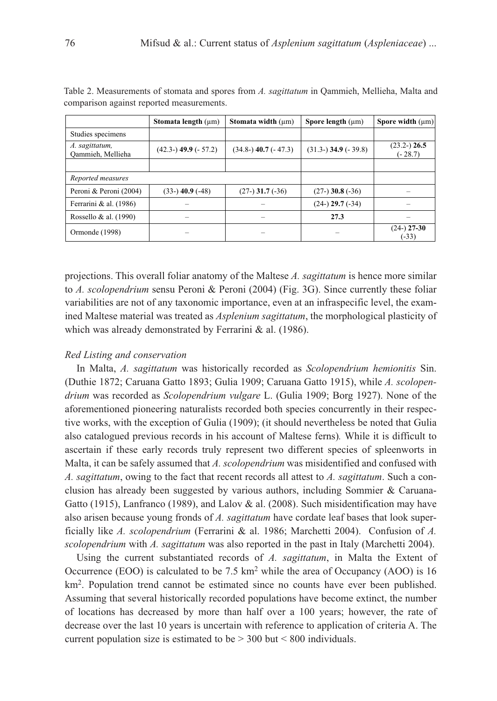|                                     | Stomata length $(\mu m)$   | Stomata width $(\mu m)$ | Spore length $(\mu m)$  | Spore width $(\mu m)$       |
|-------------------------------------|----------------------------|-------------------------|-------------------------|-----------------------------|
| Studies specimens                   |                            |                         |                         |                             |
| A. sagittatum,<br>Qammieh, Mellieha | $(42.3-)$ 49.9 ( $-57.2$ ) | $(34.8-)$ 40.7 (- 47.3) | $(31.3-)$ 34.9 (- 39.8) | $(23.2-)$ 26.5<br>$(-28.7)$ |
|                                     |                            |                         |                         |                             |
| Reported measures                   |                            |                         |                         |                             |
| Peroni & Peroni (2004)              | $(33-)$ 40.9 $(-48)$       | $(27-)$ 31.7 $(-36)$    | $(27-)$ 30.8 $(-36)$    |                             |
| Ferrarini & al. (1986)              |                            |                         | $(24-)$ 29.7 $(-34)$    |                             |
| Rossello & al. (1990)               |                            |                         | 27.3                    |                             |
| Ormonde (1998)                      |                            |                         |                         | $(24-)$ 27-30<br>(-33)      |

Table 2. Measurements of stomata and spores from *A. sagittatum* in Qammieh, Mellieha, Malta and comparison against reported measurements.

projections. This overall foliar anatomy of the Maltese *A. sagittatum* is hence more similar to *A. scolopendrium* sensu Peroni & Peroni (2004) (Fig. 3G). Since currently these foliar variabilities are not of any taxonomic importance, even at an infraspecific level, the examined Maltese material was treated as *Asplenium sagittatum*, the morphological plasticity of which was already demonstrated by Ferrarini & al. (1986).

## *Red Listing and conservation*

In Malta, *A. sagittatum* was historically recorded as *Scolopendrium hemionitis* Sin. (Duthie 1872; Caruana Gatto 1893; Gulia 1909; Caruana Gatto 1915), while *A. scolopendrium* was recorded as *Scolopendrium vulgare* L. (Gulia 1909; Borg 1927). None of the aforementioned pioneering naturalists recorded both species concurrently in their respective works, with the exception of Gulia (1909); (it should nevertheless be noted that Gulia also catalogued previous records in his account of Maltese ferns)*.* While it is difficult to ascertain if these early records truly represent two different species of spleenworts in Malta, it can be safely assumed that *A. scolopendrium* was misidentified and confused with *A. sagittatum*, owing to the fact that recent records all attest to *A. sagittatum*. Such a conclusion has already been suggested by various authors, including Sommier & Caruana-Gatto (1915), Lanfranco (1989), and Lalov & al. (2008). Such misidentification may have also arisen because young fronds of *A. sagittatum* have cordate leaf bases that look superficially like *A. scolopendrium* (Ferrarini & al. 1986; Marchetti 2004). Confusion of *A. scolopendrium* with *A. sagittatum* was also reported in the past in Italy (Marchetti 2004).

Using the current substantiated records of *A. sagittatum*, in Malta the Extent of Occurrence (EOO) is calculated to be 7.5 km<sup>2</sup> while the area of Occupancy (AOO) is 16 km<sup>2</sup>. Population trend cannot be estimated since no counts have ever been published. Assuming that several historically recorded populations have become extinct, the number of locations has decreased by more than half over a 100 years; however, the rate of decrease over the last 10 years is uncertain with reference to application of criteria A. The current population size is estimated to be  $> 300$  but  $< 800$  individuals.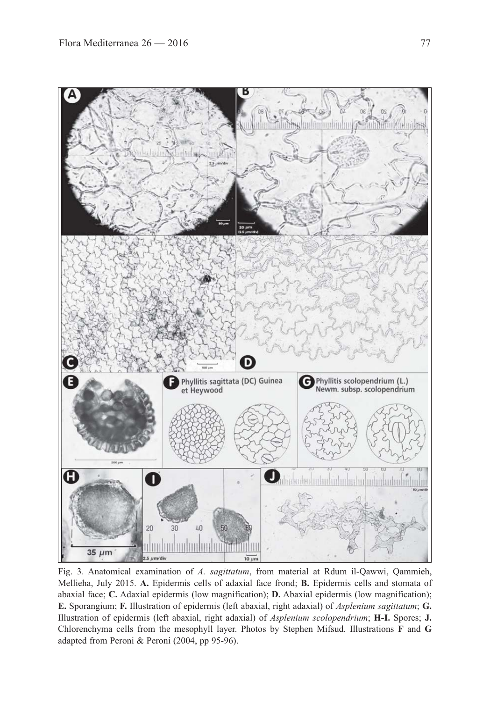

Fig. 3. Anatomical examination of *A. sagittatum*, from material at Rdum il-Qawwi, Qammieh, Mellieha, July 2015. **A.** Epidermis cells of adaxial face frond; **B.** Epidermis cells and stomata of abaxial face; **C.** Adaxial epidermis (low magnification); **D.** Abaxial epidermis (low magnification); **E.** Sporangium; **F.** Illustration of epidermis (left abaxial, right adaxial) of *Asplenium sagittatum*; **G.** Illustration of epidermis (left abaxial, right adaxial) of *Asplenium scolopendrium*; **H-I.** Spores; **J.** Chlorenchyma cells from the mesophyll layer. Photos by Stephen Mifsud. Illustrations **F** and **G** adapted from Peroni & Peroni (2004, pp 95-96).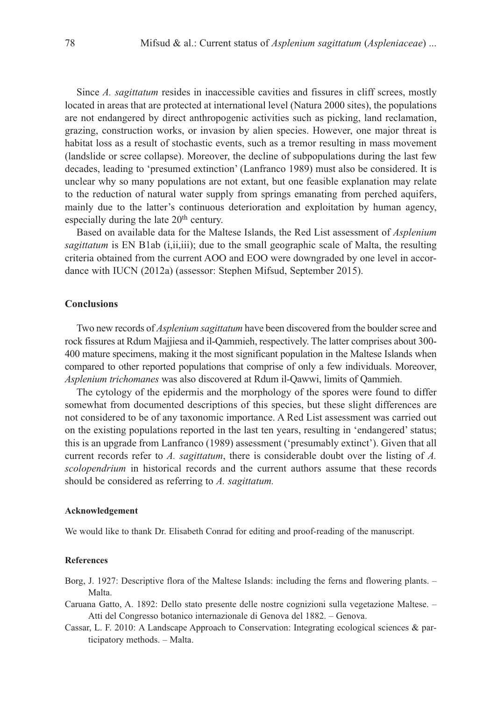Since *A. sagittatum* resides in inaccessible cavities and fissures in cliff screes, mostly located in areas that are protected at international level (Natura 2000 sites), the populations are not endangered by direct anthropogenic activities such as picking, land reclamation, grazing, construction works, or invasion by alien species. However, one major threat is habitat loss as a result of stochastic events, such as a tremor resulting in mass movement (landslide or scree collapse). Moreover, the decline of subpopulations during the last few decades, leading to 'presumed extinction' (Lanfranco 1989) must also be considered. It is unclear why so many populations are not extant, but one feasible explanation may relate to the reduction of natural water supply from springs emanating from perched aquifers, mainly due to the latter's continuous deterioration and exploitation by human agency, especially during the late 20<sup>th</sup> century.

Based on available data for the Maltese Islands, the Red List assessment of *Asplenium sagittatum* is EN B1ab (i,ii,iii); due to the small geographic scale of Malta, the resulting criteria obtained from the current AOO and EOO were downgraded by one level in accordance with IUCN (2012a) (assessor: Stephen Mifsud, September 2015).

## **Conclusions**

Two new records of *Asplenium sagittatum* have been discovered from the boulder scree and rock fissures at Rdum Majjiesa and il-Qammieh, respectively. The latter comprises about 300- 400 mature specimens, making it the most significant population in the Maltese Islands when compared to other reported populations that comprise of only a few individuals. Moreover, *Asplenium trichomanes* was also discovered at Rdum il-Qawwi, limits of Qammieh.

The cytology of the epidermis and the morphology of the spores were found to differ somewhat from documented descriptions of this species, but these slight differences are not considered to be of any taxonomic importance. A Red List assessment was carried out on the existing populations reported in the last ten years, resulting in 'endangered' status; this is an upgrade from Lanfranco (1989) assessment ('presumably extinct'). Given that all current records refer to *A. sagittatum*, there is considerable doubt over the listing of *A. scolopendrium* in historical records and the current authors assume that these records should be considered as referring to *A. sagittatum.* 

## **Acknowledgement**

We would like to thank Dr. Elisabeth Conrad for editing and proof-reading of the manuscript.

#### **References**

- Borg, J. 1927: Descriptive flora of the Maltese Islands: including the ferns and flowering plants. Malta.
- Caruana Gatto, A. 1892: Dello stato presente delle nostre cognizioni sulla vegetazione Maltese. Atti del Congresso botanico internazionale di Genova del 1882. – Genova.
- Cassar, L. F. 2010: A Landscape Approach to Conservation: Integrating ecological sciences & participatory methods. – Malta.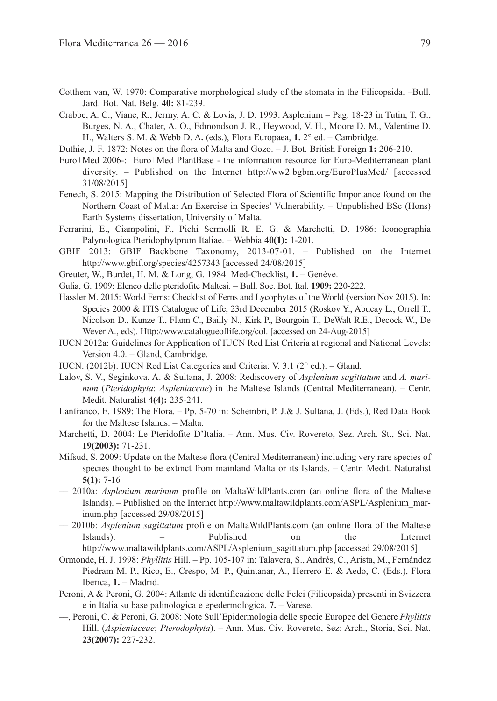- Cotthem van, W. 1970: Comparative morphological study of the stomata in the Filicopsida. –Bull. Jard. Bot. Nat. Belg. **40:** 81-239.
- Crabbe, A. C., Viane, R., Jermy, A. C. & Lovis, J. D. 1993: Asplenium Pag. 18-23 in Tutin, T. G., Burges, N. A., Chater, A. O., Edmondson J. R., Heywood, V. H., Moore D. M., Valentine D. H., Walters S. M. & Webb D. A**.** (eds.), Flora Europaea, **1.** 2° ed. – Cambridge.
- Duthie, J. F. 1872: Notes on the flora of Malta and Gozo. J. Bot. British Foreign **1:** 206-210.
- Euro+Med 2006-: Euro+Med PlantBase the information resource for Euro-Mediterranean plant diversity. – Published on the Internet http://ww2.bgbm.org/EuroPlusMed/ [accessed 31/08/2015]
- Fenech, S. 2015: Mapping the Distribution of Selected Flora of Scientific Importance found on the Northern Coast of Malta: An Exercise in Species' Vulnerability. – Unpublished BSc (Hons) Earth Systems dissertation, University of Malta.
- Ferrarini, E., Ciampolini, F., Pichi Sermolli R. E. G. & Marchetti, D. 1986: Iconographia Palynologica Pteridophytprum Italiae. – Webbia **40(1):** 1-201.
- GBIF 2013: GBIF Backbone Taxonomy, 2013-07-01. Published on the Internet http://www.gbif.org/species/4257343 [accessed 24/08/2015]
- Greuter, W., Burdet, H. M. & Long, G. 1984: Med-Checklist, **1.** Genève.
- Gulia, G. 1909: Elenco delle pteridofite Maltesi. Bull. Soc. Bot. Ital. **1909:** 220-222.
- Hassler M. 2015: World Ferns: Checklist of Ferns and Lycophytes of the World (version Nov 2015). In: Species 2000 & ITIS Catalogue of Life, 23rd December 2015 (Roskov Y., Abucay L., Orrell T., Nicolson D., Kunze T., Flann C., Bailly N., Kirk P., Bourgoin T., DeWalt R.E., Decock W., De Wever A., eds). Http://www.catalogueoflife.org/col. [accessed on 24-Aug-2015]
- IUCN 2012a: Guidelines for Application of IUCN Red List Criteria at regional and National Levels: Version 4.0. – Gland, Cambridge.
- IUCN. (2012b): IUCN Red List Categories and Criteria: V. 3.1 (2° ed.). Gland.
- Lalov, S. V., Seginkova, A. & Sultana, J. 2008: Rediscovery of *Asplenium sagittatum* and *A. marinum* (*Pteridophyta*: *Aspleniaceae*) in the Maltese Islands (Central Mediterranean). – Centr. Medit. Naturalist **4(4):** 235-241.
- Lanfranco, E. 1989: The Flora. Pp. 5-70 in: Schembri, P. J.& J. Sultana, J. (Eds.), Red Data Book for the Maltese Islands. – Malta.
- Marchetti, D. 2004: Le Pteridofite D'Italia. Ann. Mus. Civ. Rovereto, Sez. Arch. St., Sci. Nat. **19(2003):** 71-231.
- Mifsud, S. 2009: Update on the Maltese flora (Central Mediterranean) including very rare species of species thought to be extinct from mainland Malta or its Islands. – Centr. Medit. Naturalist **5(1):** 7-16
- –– 2010a: *Asplenium marinum* profile on MaltaWildPlants.com (an online flora of the Maltese Islands). – Published on the Internet http://www.maltawildplants.com/ASPL/Asplenium\_marinum.php [accessed 29/08/2015]
- –– 2010b: *Asplenium sagittatum* profile on MaltaWildPlants.com (an online flora of the Maltese Islands). – Published on the Internet http://www.maltawildplants.com/ASPL/Asplenium\_sagittatum.php [accessed 29/08/2015]
- Ormonde, H. J. 1998: *Phyllitis* Hill. Pp. 105-107 in: Talavera, S., Andrés, C., Arista, M., Fernández Piedram M. P., Rico, E., Crespo, M. P., Quintanar, A., Herrero E. & Aedo, C. (Eds.), Flora Iberica, **1.** – Madrid.
- Peroni, A & Peroni, G. 2004: Atlante di identificazione delle Felci (Filicopsida) presenti in Svizzera e in Italia su base palinologica e epedermologica, **7.** – Varese.
- ––, Peroni, C. & Peroni, G. 2008: Note Sull'Epidermologia delle specie Europee del Genere *Phyllitis* Hill. (*Aspleniaceae*; *Pterodophyta*). – Ann. Mus. Civ. Rovereto, Sez: Arch., Storia, Sci. Nat. **23(2007):** 227-232.